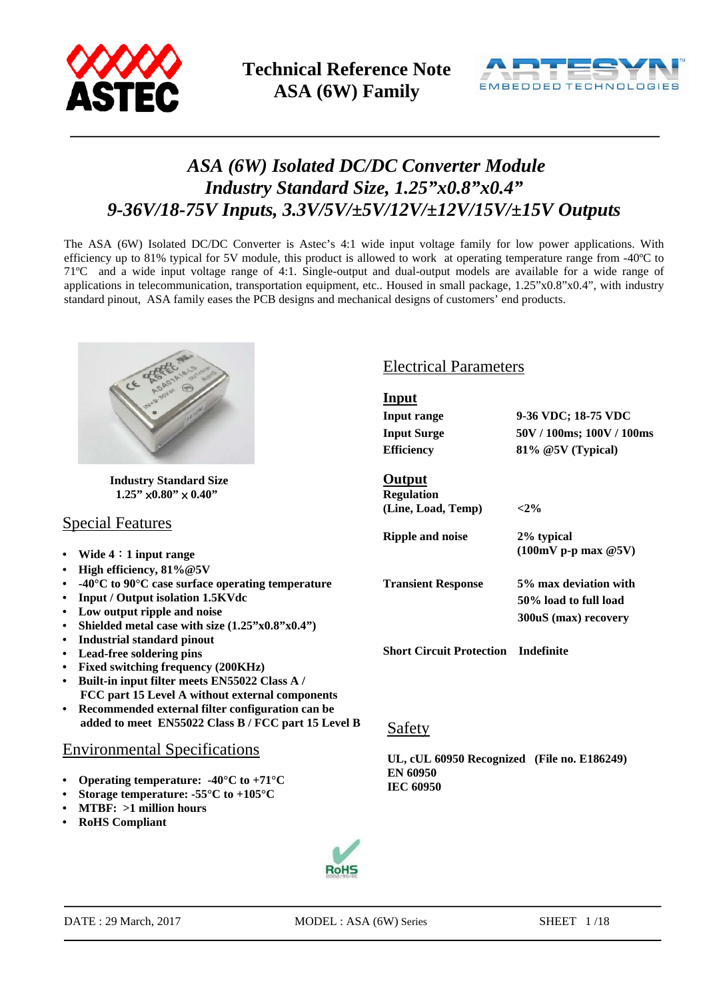



# *ASA (6W) Isolated DC/DC Converter Module Industry Standard Size, 1.25"x0.8"x0.4" 9-36V/18-75V Inputs, 3.3V/5V/±5V/12V/±12V/15V/±15V Outputs*

The ASA (6W) Isolated DC/DC Converter is Astec's 4:1 wide input voltage family for low power applications. With efficiency up to 81% typical for 5V module, this product is allowed to work at operating temperature range from -40ºC to 71ºC and a wide input voltage range of 4:1. Single-output and dual-output models are available for a wide range of applications in telecommunication, transportation equipment, etc.. Housed in small package, 1.25"x0.8"x0.4", with industry standard pinout, ASA family eases the PCB designs and mechanical designs of customers' end products.



 **Industry Standard Size**   $1.25" \times 0.80" \times 0.40"$ 

### Special Features

- **Wide 4**:**1 input range**
- **High efficiency, 81%@5V**
- **-40°C to 90°C case surface operating temperature**
- **Input / Output isolation 1.5KVdc**
- **Low output ripple and noise**
- **Shielded metal case with size (1.25"x0.8"x0.4")**
- **Industrial standard pinout**
- **Lead-free soldering pins**
- **Fixed switching frequency (200KHz)**
- **Built-in input filter meets EN55022 Class A / FCC part 15 Level A without external components**
- **Recommended external filter configuration can be**  added to meet EN55022 Class B / FCC part 15 Level B Safety

### Environmental Specifications

- **• Operating temperature: -40°C to +71°C**
- **• Storage temperature: -55°C to +105°C**
- **• MTBF: >1 million hours**
- **• RoHS Compliant**

### Electrical Parameters

| Input                           |                                                                        |
|---------------------------------|------------------------------------------------------------------------|
| Input range                     | 9-36 VDC; 18-75 VDC                                                    |
| <b>Input Surge</b>              | 50V / 100ms; 100V / 100ms                                              |
| <b>Efficiency</b>               | 81% @5V (Typical)                                                      |
| Output<br><b>Regulation</b>     |                                                                        |
| (Line, Load, Temp)              | ${<}2\%$                                                               |
| <b>Ripple and noise</b>         | 2% typical<br>$(100mV)$ p-p max $@5V)$                                 |
| <b>Transient Response</b>       | 5% max deviation with<br>50% load to full load<br>300uS (max) recovery |
| <b>Short Circuit Protection</b> | Indefinite                                                             |

**UL, cUL 60950 Recognized (File no. E186249) EN 60950 IEC 60950** 

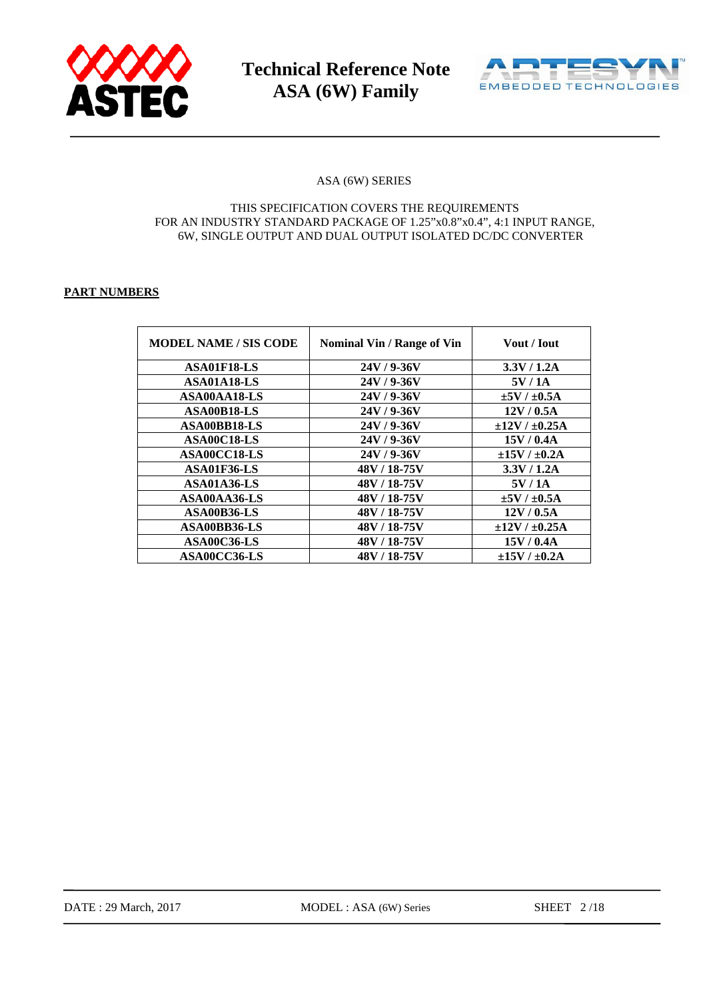



#### ASA (6W) SERIES

#### THIS SPECIFICATION COVERS THE REQUIREMENTS FOR AN INDUSTRY STANDARD PACKAGE OF 1.25"x0.8"x0.4", 4:1 INPUT RANGE, 6W, SINGLE OUTPUT AND DUAL OUTPUT ISOLATED DC/DC CONVERTER

#### **PART NUMBERS**

| <b>MODEL NAME / SIS CODE</b> | <b>Nominal Vin / Range of Vin</b> | <b>Vout / Iout</b>      |
|------------------------------|-----------------------------------|-------------------------|
| ASA01F18-LS                  | $24V/9-36V$                       | 3.3V / 1.2A             |
| ASA01A18-LS                  | $24V/9 - 36V$                     | 5V/1A                   |
| ASA00AA18-LS                 | 24V / 9-36V                       | $\pm 5V$ / $\pm 0.5A$   |
| ASA00B18-LS                  | $24V/9 - 36V$                     | 12V/0.5A                |
| ASA00BB18-LS                 | $24V/9-36V$                       | $\pm 12V / \pm 0.25A$   |
| ASA00C18-LS                  | $24V/9-36V$                       | 15V/0.4A                |
| ASA00CC18-LS                 | $24V/9 - 36V$                     | $\pm 15V$ / $\pm 0.2A$  |
| ASA01F36-LS                  | 48V / 18-75V                      | 3.3V / 1.2A             |
| ASA01A36-LS                  | 48V / 18-75V                      | 5V/1A                   |
| ASA00AA36-LS                 | 48V / 18-75V                      | $\pm 5V$ / $\pm 0.5A$   |
| ASA00B36-LS                  | 48V / 18-75V                      | 12V/0.5A                |
| ASA00BB36-LS                 | 48V / 18-75V                      | $\pm 12V$ / $\pm 0.25A$ |
| ASA00C36-LS                  | 48V / 18-75V                      | 15V / 0.4A              |
| ASA00CC36-LS                 | 48V / 18-75V                      | $\pm 15V$ / $\pm 0.2A$  |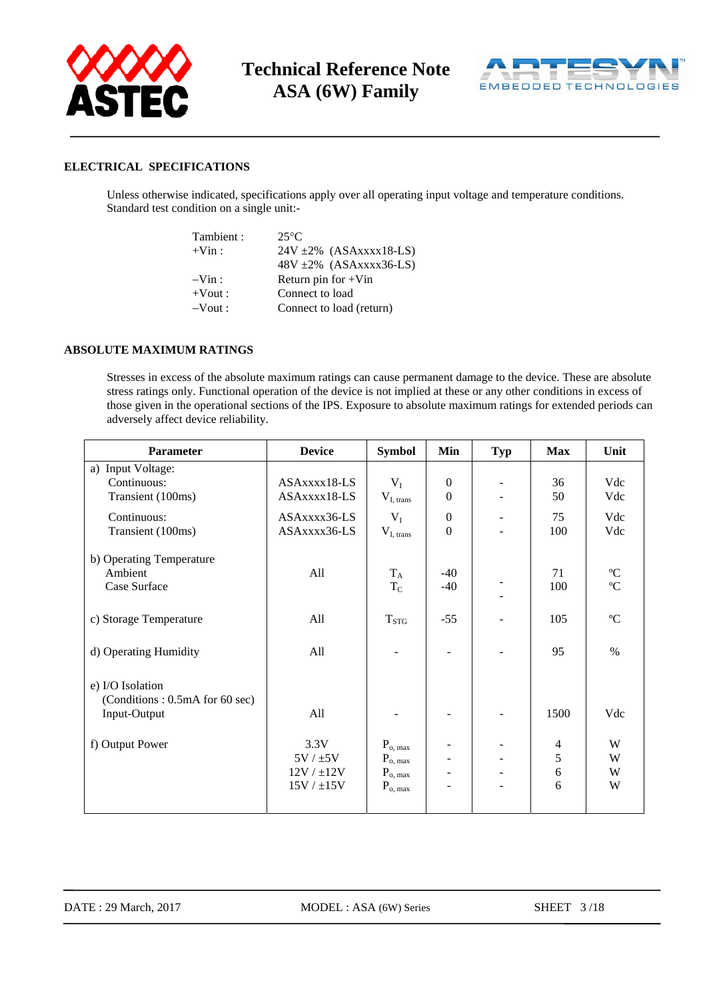



#### **ELECTRICAL SPECIFICATIONS**

Unless otherwise indicated, specifications apply over all operating input voltage and temperature conditions. Standard test condition on a single unit:-

| Tambient:  | $25^{\circ}$ C               |
|------------|------------------------------|
| $+V$ in :  | $24V \pm 2\%$ (ASAxxx18-LS)  |
|            | $48V \pm 2\%$ (ASAxxxx36-LS) |
| $-Vin:$    | Return pin for $+V$ in       |
| $+$ Vout : | Connect to load              |
| $-Vout:$   | Connect to load (return)     |
|            |                              |

#### **ABSOLUTE MAXIMUM RATINGS**

Stresses in excess of the absolute maximum ratings can cause permanent damage to the device. These are absolute stress ratings only. Functional operation of the device is not implied at these or any other conditions in excess of those given in the operational sections of the IPS. Exposure to absolute maximum ratings for extended periods can adversely affect device reliability.

| Parameter                      | <b>Device</b>   | <b>Symbol</b>  | Min                      | <b>Typ</b>                   | <b>Max</b>               | Unit                    |
|--------------------------------|-----------------|----------------|--------------------------|------------------------------|--------------------------|-------------------------|
| a) Input Voltage:              |                 |                |                          |                              |                          |                         |
| Continuous:                    | ASAxxxx18-LS    | $V_I$          | $\overline{0}$           |                              | 36                       | Vdc                     |
| Transient (100ms)              | ASAxxxx18-LS    | $V_{I, trans}$ | $\theta$                 |                              | 50                       | Vdc                     |
| Continuous:                    | ASAxxxx36-LS    | $V_I$          | $\Omega$                 |                              | 75                       | Vdc                     |
| Transient (100ms)              | ASAxxxx36-LS    | $V_{I, trans}$ | $\boldsymbol{0}$         |                              | 100                      | Vdc                     |
| b) Operating Temperature       |                 |                |                          |                              |                          |                         |
| Ambient                        | All             | $\rm T_A$      | $-40$                    |                              | 71                       | $\mathrm{^o}\mathrm{C}$ |
| Case Surface                   |                 | $\rm T_C$      | $-40$                    |                              | 100                      | $\rm ^{o}C$             |
|                                |                 |                |                          |                              |                          |                         |
| c) Storage Temperature         | All             | $T_{STG}$      | $-55$                    |                              | 105                      | °C                      |
|                                |                 |                |                          |                              |                          |                         |
| d) Operating Humidity          | All             |                |                          |                              | 95                       | $\%$                    |
|                                |                 |                |                          |                              |                          |                         |
| e) I/O Isolation               |                 |                |                          |                              |                          |                         |
| (Conditions: 0.5mA for 60 sec) |                 |                |                          |                              |                          |                         |
| Input-Output                   | All             |                | -                        |                              | 1500                     | Vdc                     |
|                                |                 |                |                          |                              |                          |                         |
| f) Output Power                | 3.3V            | $P_{o, max}$   |                          |                              | $\overline{\mathcal{L}}$ | W                       |
|                                | 5V / ±5V        | $P_{o, max}$   | $\overline{\phantom{0}}$ |                              | 5                        | W                       |
|                                | $12V / \pm 12V$ | $P_{o, max}$   | -                        | $\qquad \qquad \blacksquare$ | 6                        | W                       |
|                                | 15V / ±15V      | $P_{o, max}$   | $\overline{\phantom{0}}$ |                              | 6                        | W                       |
|                                |                 |                |                          |                              |                          |                         |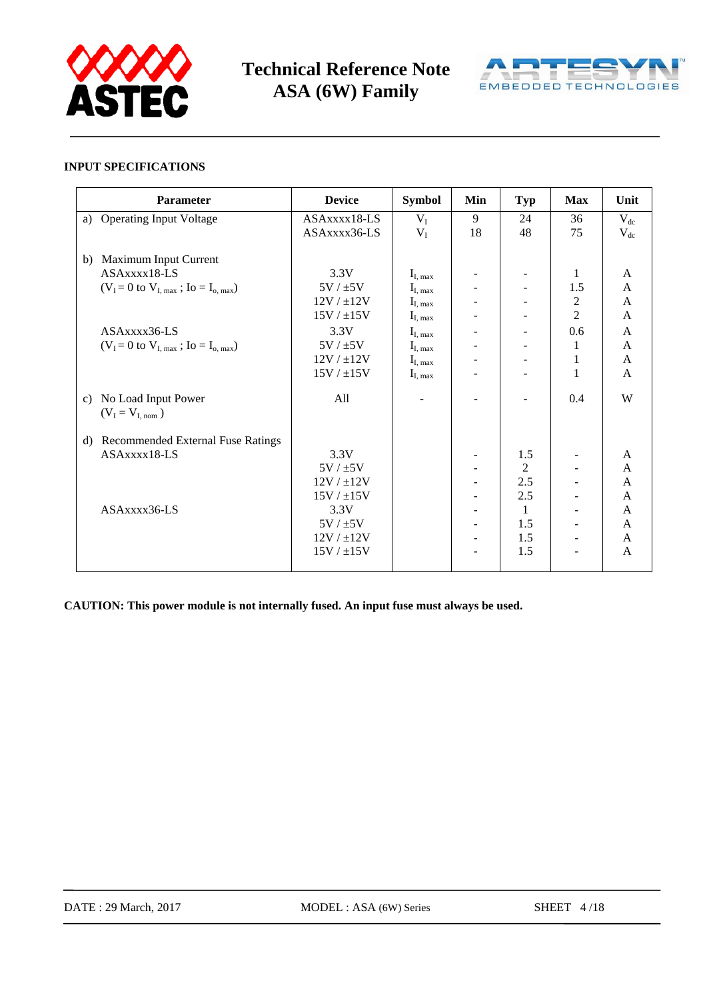



#### **INPUT SPECIFICATIONS**

| Parameter                                                            | <b>Device</b>   | <b>Symbol</b>                | Min | <b>Typ</b>     | <b>Max</b>     | Unit         |
|----------------------------------------------------------------------|-----------------|------------------------------|-----|----------------|----------------|--------------|
| a) Operating Input Voltage                                           | ASAxxxx18-LS    | $V_I$                        | 9   | 24             | 36             | $V_{dc}$     |
|                                                                      | ASAxxxx36-LS    | $V_I$                        | 18  | 48             | 75             | $V_{dc}$     |
| Maximum Input Current<br>b)                                          |                 |                              |     |                |                |              |
| ASAxxxx18-LS                                                         | 3.3V            | $I_{I, max}$                 |     |                | 1              | A            |
| $(V_I = 0 \text{ to } V_{I, \text{ max}}; I_0 = I_{o, \text{ max}})$ | $5V / \pm 5V$   | $I_{I, max}$                 |     |                | 1.5            | A            |
|                                                                      | $12V / \pm 12V$ | $I_{I, max}$                 |     |                | $\mathbf{2}$   | A            |
|                                                                      | $15V / \pm 15V$ | $\mathbf{I}_{\text{I, max}}$ |     |                | $\overline{2}$ | A            |
| ASAxxxx36-LS                                                         | 3.3V            | $I_{I, max}$                 |     |                | 0.6            | A            |
| $(V_I = 0$ to $V_{I, max}$ ; Io = I <sub>o, max</sub> )              | 5V / ±5V        | $I_{I, max}$                 |     |                | 1              | $\mathbf{A}$ |
|                                                                      | $12V / \pm 12V$ | $I_{I, max}$                 |     |                | 1              | A            |
|                                                                      | 15V / ±15V      | $I_{I, max}$                 |     |                | 1              | A            |
| No Load Input Power<br>c)<br>$(V_I = V_{I, nom})$                    | All             |                              |     |                | 0.4            | W            |
| <b>Recommended External Fuse Ratings</b><br>d)                       |                 |                              |     |                |                |              |
| ASAxxxx18-LS                                                         | 3.3V            |                              |     | 1.5            |                | $\mathbf{A}$ |
|                                                                      | $5V / \pm 5V$   |                              |     | $\overline{2}$ |                | $\mathbf{A}$ |
|                                                                      | $12V / \pm 12V$ |                              |     | 2.5            |                | A            |
|                                                                      | 15V / ±15V      |                              |     | 2.5            |                | $\mathbf{A}$ |
| ASAxxx36-LS                                                          | 3.3V            |                              |     | 1              |                | $\mathbf{A}$ |
|                                                                      | $5V / \pm 5V$   |                              |     | 1.5            |                | A            |
|                                                                      | $12V / \pm 12V$ |                              |     | 1.5            | $\blacksquare$ | A            |
|                                                                      | $15V / \pm 15V$ |                              |     | 1.5            |                | A            |
|                                                                      |                 |                              |     |                |                |              |

**CAUTION: This power module is not internally fused. An input fuse must always be used.**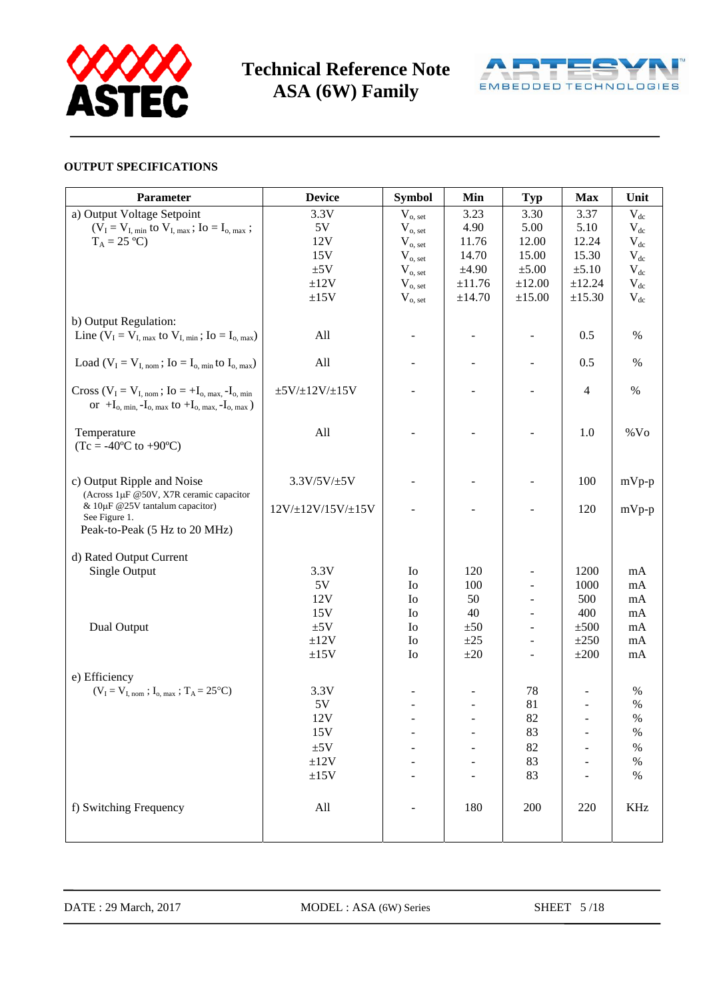



#### **OUTPUT SPECIFICATIONS**

| Parameter                                                                                                                                   | <b>Device</b>            | <b>Symbol</b>  | Min            | <b>Typ</b>               | <b>Max</b>     | Unit       |
|---------------------------------------------------------------------------------------------------------------------------------------------|--------------------------|----------------|----------------|--------------------------|----------------|------------|
| a) Output Voltage Setpoint                                                                                                                  | 3.3V                     | $V_{o, set}$   | 3.23           | 3.30                     | 3.37           | $V_{dc}$   |
| $(V_I = V_{I, min}$ to $V_{I, max}$ ; Io = I <sub>o, max</sub> ;                                                                            | 5V                       | $V_{o, set}$   | 4.90           | 5.00                     | 5.10           | $V_{dc}$   |
| $T_A = 25 °C$                                                                                                                               | 12V                      | $V_{o, set}$   | 11.76          | 12.00                    | 12.24          | $V_{dc}$   |
|                                                                                                                                             | 15V                      | $V_{o, set}$   | 14.70          | 15.00                    | 15.30          | $V_{dc}$   |
|                                                                                                                                             | ±5V                      | $V_{o, set}$   | ±4.90          | $\pm 5.00$               | $\pm 5.10$     | $V_{dc}$   |
|                                                                                                                                             | ±12V                     | $V_{o, set}$   | ±11.76         | $\pm 12.00$              | ±12.24         | $V_{dc}$   |
|                                                                                                                                             | ±15V                     | $V_{o, set}$   | ±14.70         | $\pm 15.00$              | ±15.30         | $V_{dc}$   |
| b) Output Regulation:                                                                                                                       |                          |                |                |                          |                |            |
| Line $(V_I = V_{I, max}$ to $V_{I, min}$ ; Io = I <sub>o, max</sub> )                                                                       | All                      |                |                |                          | 0.5            | $\%$       |
| Load ( $V_I = V_{I, nom}$ ; Io = I <sub>o, min</sub> to I <sub>o, max</sub> )                                                               | All                      |                | $\blacksquare$ |                          | 0.5            | $\%$       |
| Cross ( $V_I = V_{I, nom}$ ; Io = +I <sub>o, max,</sub> -I <sub>o, min</sub><br>or $+I_{o, min, -I_{o, max}}$ to $+I_{o, max, -I_{o, max}}$ | $\pm 5V/\pm 12V/\pm 15V$ |                |                |                          | $\overline{4}$ | $\%$       |
| Temperature<br>$(Tc = -40^{\circ}C \text{ to } +90^{\circ}C)$                                                                               | All                      |                |                |                          | 1.0            | $%$ Vo     |
| c) Output Ripple and Noise<br>(Across 1µF @50V, X7R ceramic capacitor                                                                       | $3.3V/5V/\pm 5V$         |                |                |                          | 100            | $mVp-p$    |
| & 10μF @25V tantalum capacitor)<br>See Figure 1.<br>Peak-to-Peak (5 Hz to 20 MHz)                                                           | 12V/±12V/15V/±15V        |                |                |                          | 120            | $mVp-p$    |
| d) Rated Output Current                                                                                                                     |                          |                |                |                          |                |            |
| Single Output                                                                                                                               | 3.3V                     | Io             | 120            |                          | 1200           | mA         |
|                                                                                                                                             | 5V                       | I <sub>0</sub> | 100            |                          | 1000           | $\rm mA$   |
|                                                                                                                                             | 12V                      | I <sub>0</sub> | 50             | $\blacksquare$           | 500            | mA         |
|                                                                                                                                             | 15V                      | I <sub>0</sub> | 40             | $\overline{\phantom{a}}$ | 400            | mA         |
| Dual Output                                                                                                                                 | ±5V                      | I <sub>0</sub> | ±50            | $\overline{\phantom{a}}$ | ±500           | mA         |
|                                                                                                                                             | ±12V                     | I <sub>0</sub> | $\pm 25$       | $\blacksquare$           | ±250           | mA         |
|                                                                                                                                             | ±15V                     | Io             | $\pm 20$       | $\overline{\phantom{a}}$ | $\pm 200$      | mA         |
|                                                                                                                                             |                          |                |                |                          |                |            |
| e) Efficiency<br>$(V_I = V_{I, nom}$ ; $I_{o, max}$ ; $T_A = 25^{\circ}C$ )                                                                 | 3.3V                     |                |                | 78                       |                | $\%$       |
|                                                                                                                                             | 5V                       |                | $\blacksquare$ | 81                       | $\blacksquare$ | $\%$       |
|                                                                                                                                             | 12V                      |                |                | 82                       |                | $\%$       |
|                                                                                                                                             | 15V                      |                |                | 83                       |                | $\%$       |
|                                                                                                                                             | ±5V                      |                |                | 82                       |                | $\%$       |
|                                                                                                                                             | ±12V                     |                |                | 83                       |                | $\%$       |
|                                                                                                                                             | ±15V                     |                |                | 83                       |                | $\%$       |
| f) Switching Frequency                                                                                                                      | All                      |                | 180            | 200                      | 220            | <b>KHz</b> |
|                                                                                                                                             |                          |                |                |                          |                |            |

DATE : 29 March, 2017 MODEL : ASA (6W) Series SHEET 5/18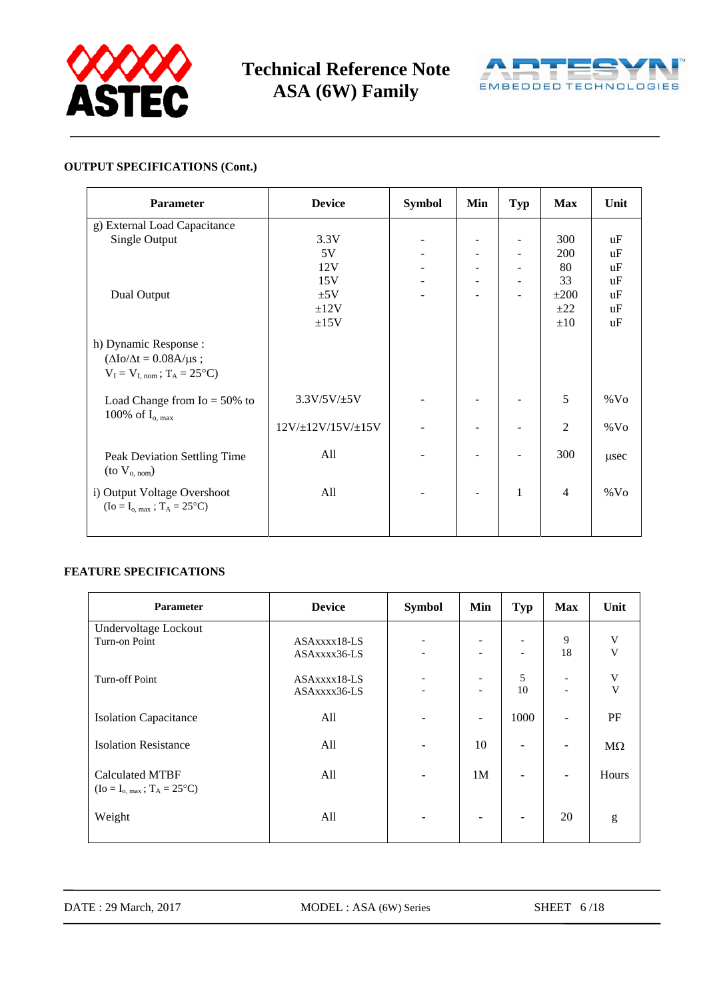



#### **OUTPUT SPECIFICATIONS (Cont.)**

| <b>Parameter</b>                                                                                              | <b>Device</b>             | <b>Symbol</b> | Min | <b>Typ</b>   | <b>Max</b>     | Unit          |
|---------------------------------------------------------------------------------------------------------------|---------------------------|---------------|-----|--------------|----------------|---------------|
| g) External Load Capacitance                                                                                  |                           |               |     |              |                |               |
| Single Output                                                                                                 | 3.3V                      |               |     |              | 300            | uF            |
|                                                                                                               | 5V                        |               |     |              | 200            | uF            |
|                                                                                                               | 12V                       |               |     |              | 80             | uF            |
|                                                                                                               | 15V                       |               |     |              | 33             | $u\mathrm{F}$ |
| Dual Output                                                                                                   | ±5V                       |               |     |              | $\pm 200$      | $u\mathrm{F}$ |
|                                                                                                               | ±12V                      |               |     |              | $\pm 22$       | uF            |
|                                                                                                               | ±15V                      |               |     |              | $\pm 10$       | $u\mathrm{F}$ |
| h) Dynamic Response :<br>$(\Delta I_0/\Delta t = 0.08A/\mu s);$<br>$V_I = V_{I, nom}$ ; $T_A = 25^{\circ}C$ ) |                           |               |     |              |                |               |
| Load Change from $I_0 = 50\%$ to<br>100% of $I_{o, max}$                                                      | $3.3V/5V/\pm 5V$          |               |     |              | 5              | $\%$ Vo       |
|                                                                                                               | $12V/\pm 12V/15V/\pm 15V$ |               |     |              | $\overline{2}$ | $%$ Vo        |
| Peak Deviation Settling Time<br>(to $V_{o, nom}$ )                                                            | All                       |               |     |              | 300            | usec          |
| i) Output Voltage Overshoot<br>$(Io = I_{o, max}$ ; $T_A = 25^{\circ}C)$                                      | All                       |               |     | $\mathbf{1}$ | $\overline{4}$ | $\%$ Vo       |

#### **FEATURE SPECIFICATIONS**

| Parameter                                 | <b>Device</b> | <b>Symbol</b> | Min                      | Typ                      | <b>Max</b>               | Unit                    |
|-------------------------------------------|---------------|---------------|--------------------------|--------------------------|--------------------------|-------------------------|
| Undervoltage Lockout                      |               |               |                          |                          |                          |                         |
| Turn-on Point                             | ASAxxxx18-LS  | -             | $\overline{\phantom{0}}$ | $\overline{\phantom{a}}$ | 9                        | V                       |
|                                           | ASAxxxx36-LS  |               | $\overline{a}$           | $\overline{\phantom{a}}$ | 18                       | $\mathbf{V}$            |
| Turn-off Point                            | ASAxxxx18-LS  |               | $\overline{\phantom{a}}$ | 5                        | $\overline{\phantom{a}}$ | $\mathbf V$             |
|                                           | ASAxxxx36-LS  |               | $\overline{\phantom{0}}$ | 10                       | $\overline{\phantom{a}}$ | $\overline{\mathbf{V}}$ |
| <b>Isolation Capacitance</b>              | All           |               | $\equiv$                 | 1000                     | $\overline{\phantom{a}}$ | PF                      |
| <b>Isolation Resistance</b>               | All           |               | 10                       | $\overline{\phantom{a}}$ | $\overline{\phantom{a}}$ | $M\Omega$               |
| <b>Calculated MTBF</b>                    | All           |               | 1M                       | ٠                        | $\overline{\phantom{a}}$ | Hours                   |
| $(Io = I_{o, max}$ ; $T_A = 25^{\circ}C)$ |               |               |                          |                          |                          |                         |
| Weight                                    | All           |               | $\overline{\phantom{a}}$ | ٠                        | 20                       | g                       |
|                                           |               |               |                          |                          |                          |                         |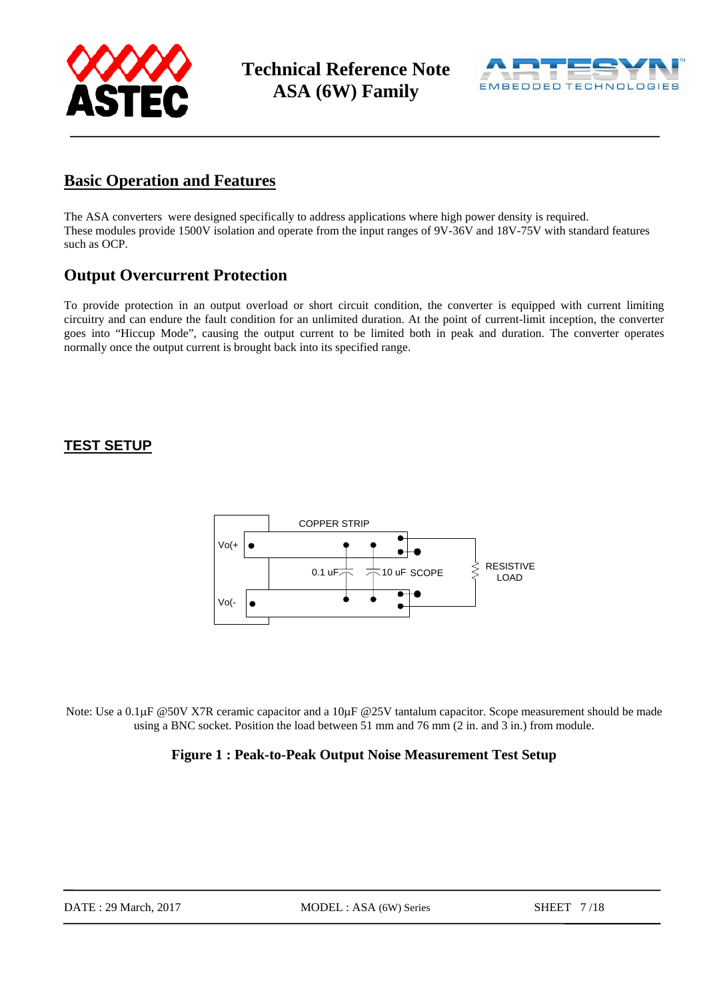



## **Basic Operation and Features**

The ASA converters were designed specifically to address applications where high power density is required. These modules provide 1500V isolation and operate from the input ranges of 9V-36V and 18V-75V with standard features such as OCP.

## **Output Overcurrent Protection**

To provide protection in an output overload or short circuit condition, the converter is equipped with current limiting circuitry and can endure the fault condition for an unlimited duration. At the point of current-limit inception, the converter goes into "Hiccup Mode", causing the output current to be limited both in peak and duration. The converter operates normally once the output current is brought back into its specified range.

### **TEST SETUP**



Note: Use a 0.1μF @50V X7R ceramic capacitor and a 10μF @25V tantalum capacitor. Scope measurement should be made using a BNC socket. Position the load between 51 mm and 76 mm (2 in. and 3 in.) from module.

### **Figure 1 : Peak-to-Peak Output Noise Measurement Test Setup**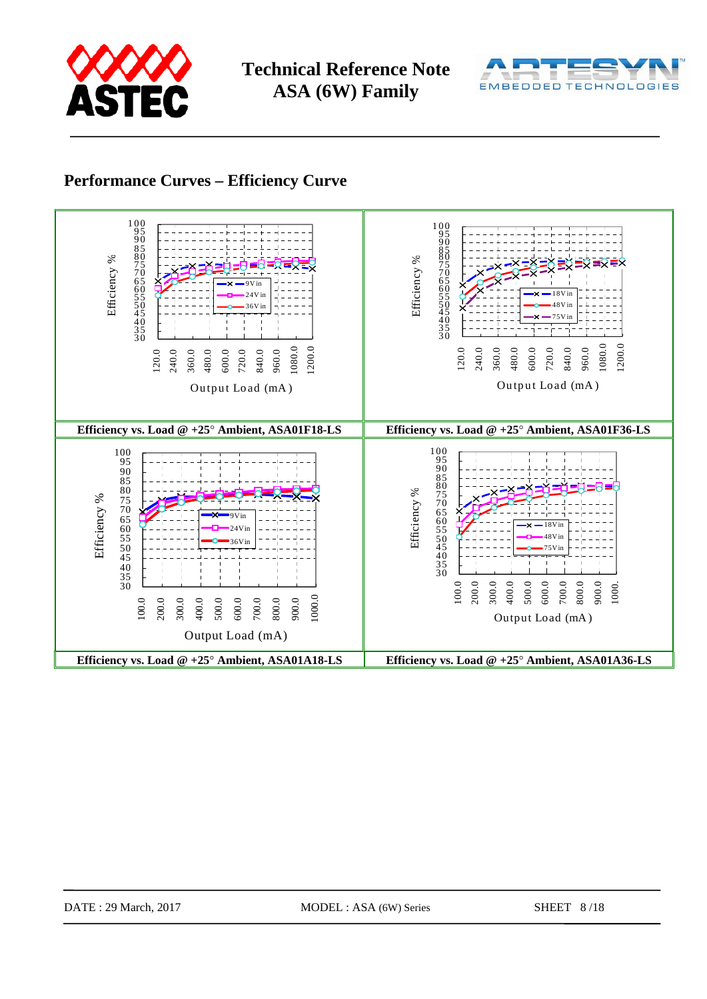



## **Performance Curves – Efficiency Curve**

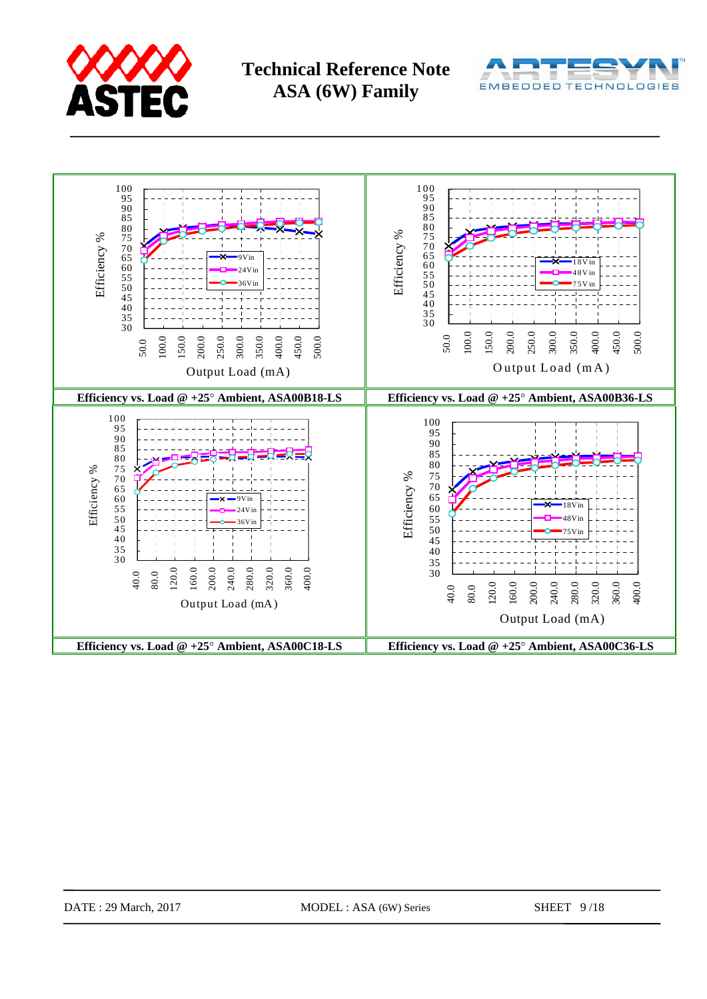



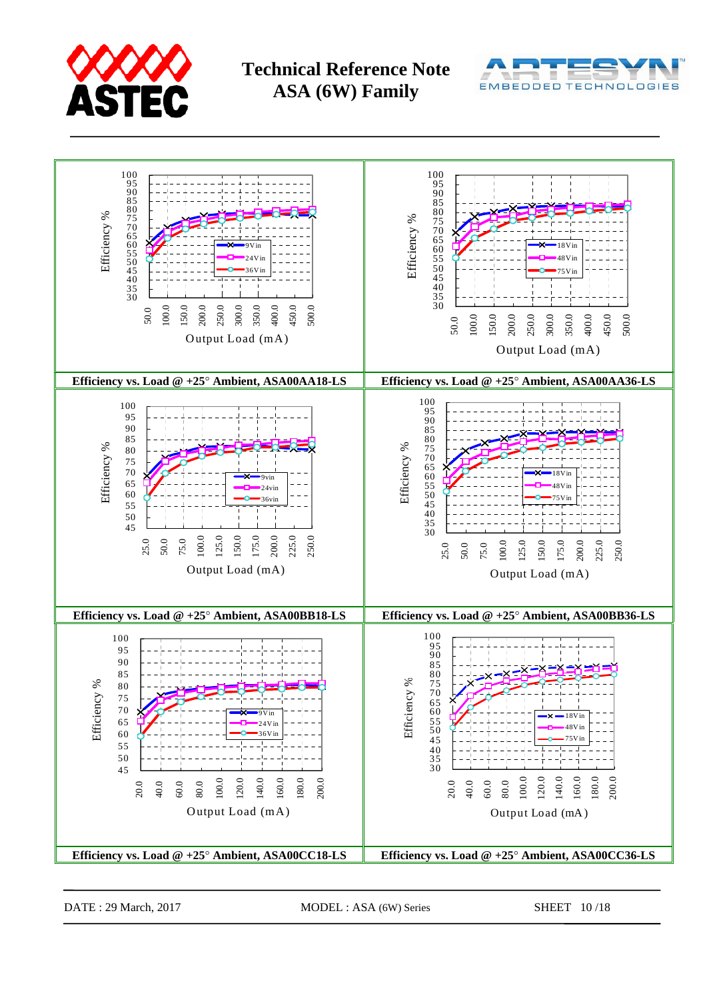





DATE : 29 March, 2017 MODEL : ASA (6W) Series SHEET 10/18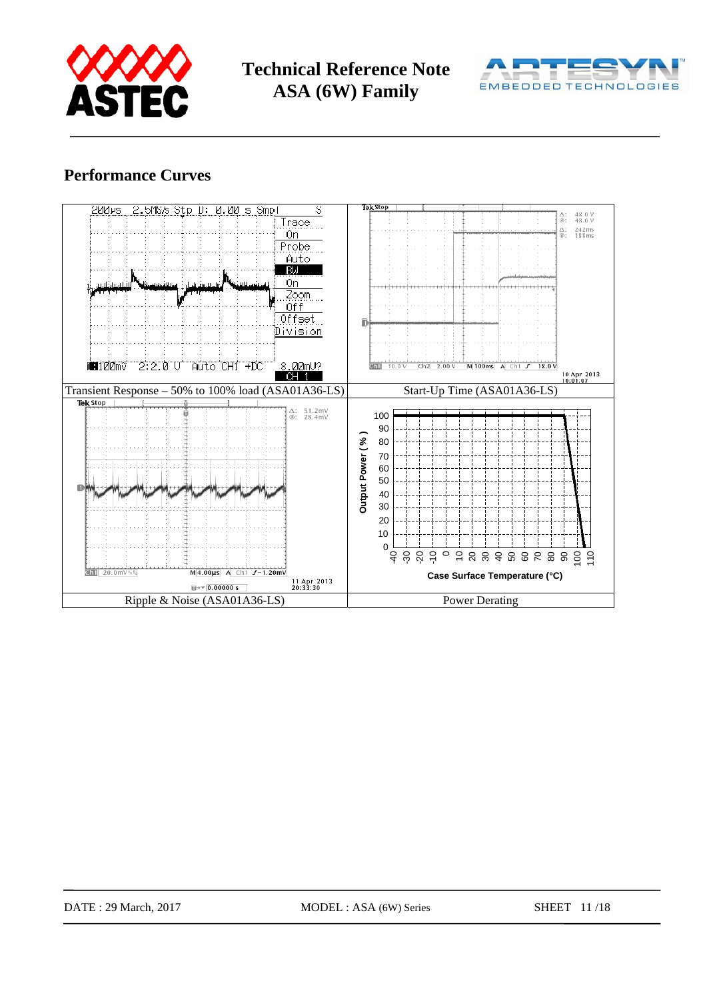



## **Performance Curves**

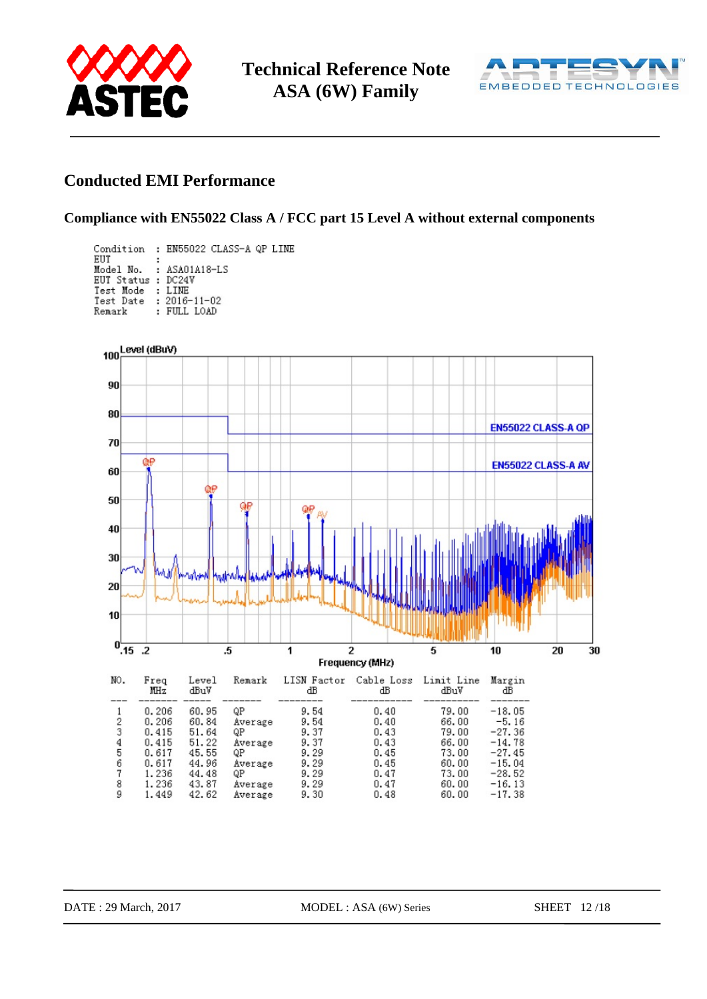



## **Conducted EMI Performance**

### **Compliance with EN55022 Class A / FCC part 15 Level A without external components**

|                        | Condition : EN55022 CLASS-A QP LINE |
|------------------------|-------------------------------------|
| EUT                    | Model No. : ASA01A18-LS             |
| EUT Status : DC24V     |                                     |
| Test Mode              | : LINE                              |
| Test Date : 2016-11-02 |                                     |
| Remark                 | : FULL LOAD                         |

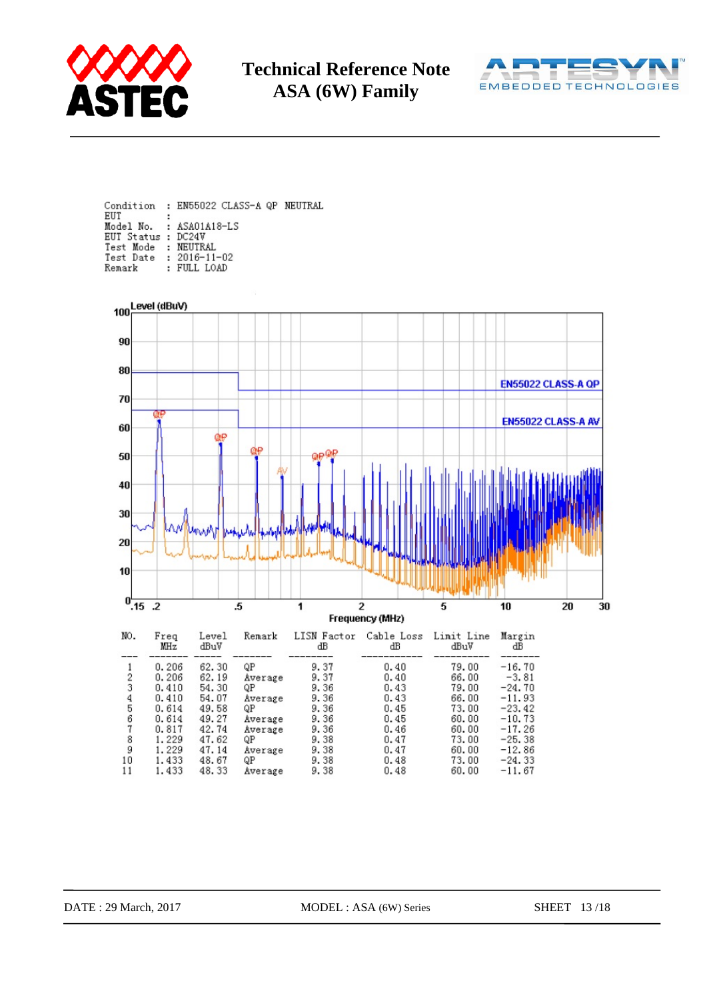



Condition : EN55022 CLASS-A QP NEUTRAL EUT Model No. : ASA01A18-LS EUT Status : DC24V Test Mode : NEUTRAL<br>Test Mode : NEUTRAL<br>Test Date : 2016-11-02 : FULL LOAD Remark

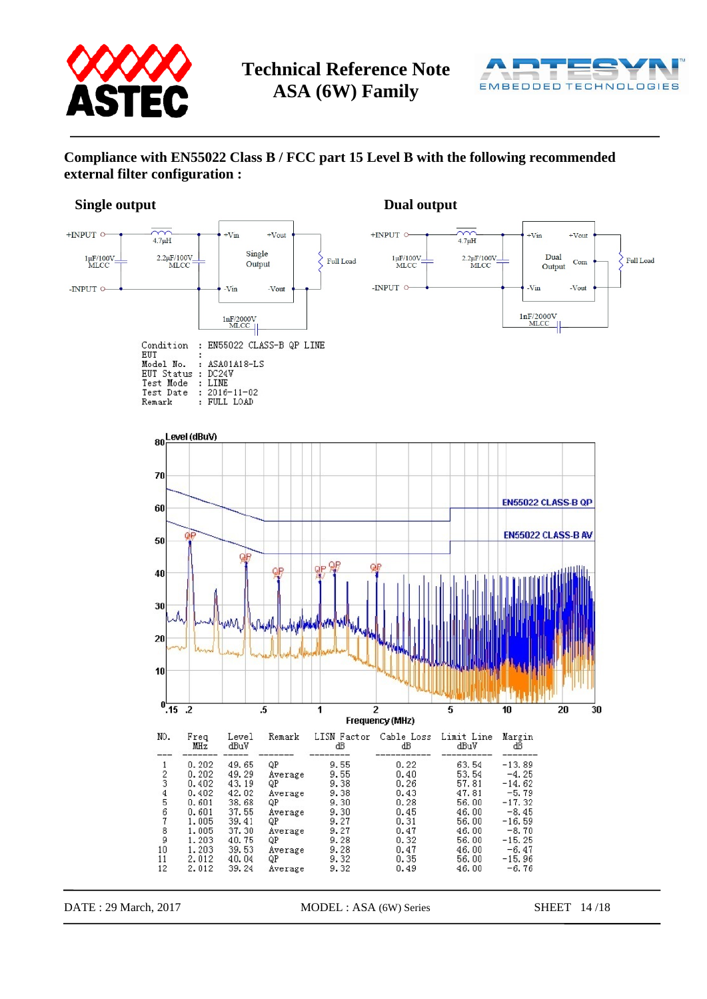



### **Compliance with EN55022 Class B / FCC part 15 Level B with the following recommended external filter configuration :**

### **Single output** Dual output **Dual output**



DATE : 29 March, 2017 MODEL : ASA (6W) Series SHEET 14/18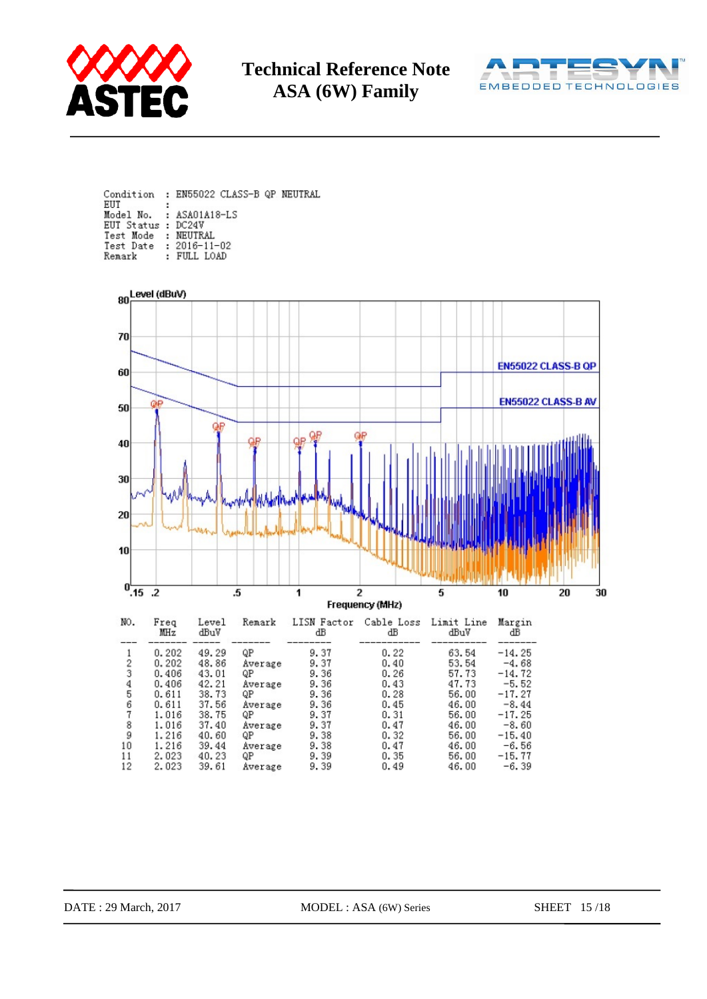



|                                 | Condition : EN55022 CLASS-B QP NEUTRAL |
|---------------------------------|----------------------------------------|
| EUT                             | Model No. : ASA01A18-LS                |
| EUT Status : DC24V              |                                        |
| Test Mode : NEUTRAL             |                                        |
| Test Date: 2016-11-02<br>Remark | : FIILL LOAD                           |
|                                 |                                        |

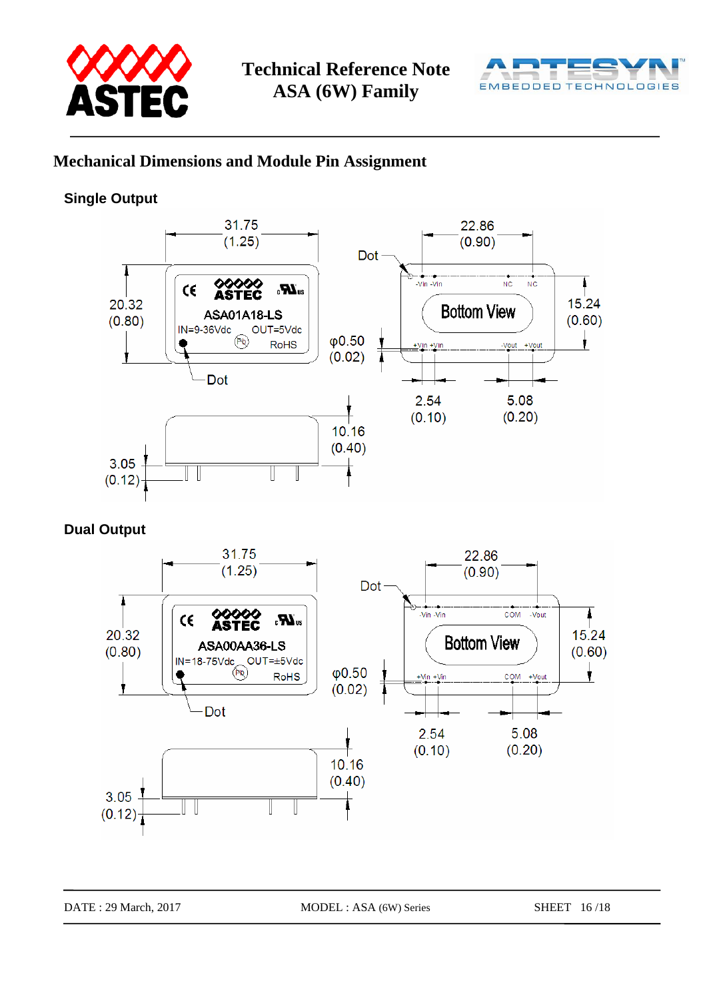



## **Mechanical Dimensions and Module Pin Assignment**

## **Single Output**



**Dual Output** 

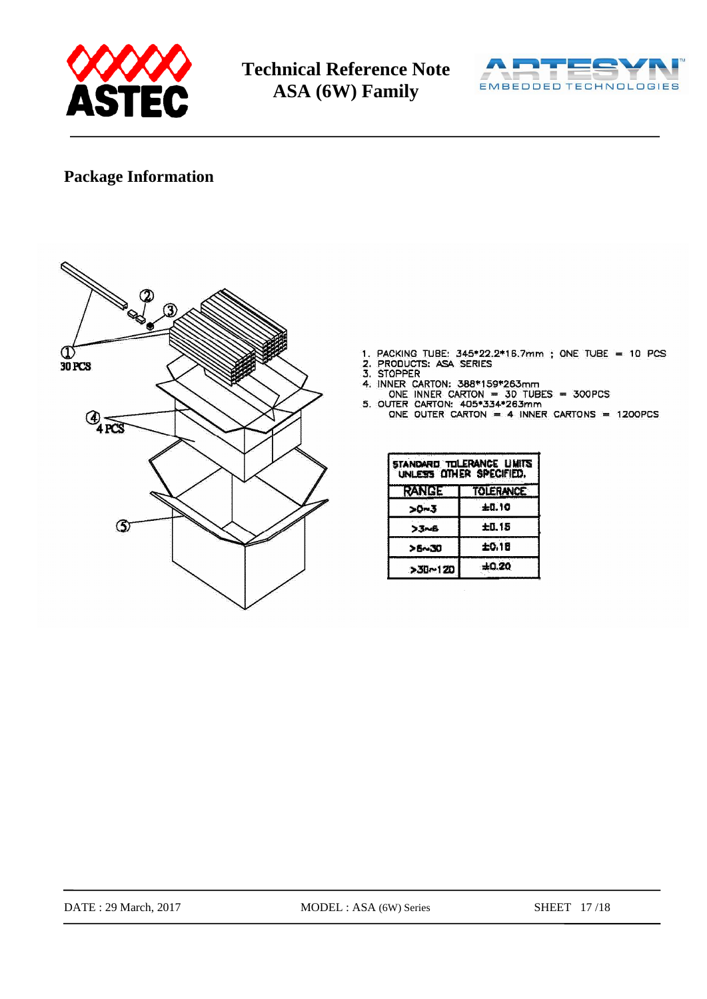



## **Package Information**



- 
- 
- 
- 
- 1. PACKING TUBE:  $345*22.2*15.7mm$ ; ONE TUBE = 10 PCS<br>
2. PRODUCTS: ASA SERIES<br>
3. STOPPER<br>
4. INNER CARTON:  $388*159*263mm$ <br>
ONE INNER CARTON:  $405*334*263mm$ <br>
5. OUTER CARTON:  $405*334*263mm$ <br>
5. OUTER CARTON:  $405*334*263mm$ 
	- ONE OUTER CARTON = 4 INNER CARTONS = 1200PCS

| standard tolerance limits<br>UNLESS OTHER SPECIFIED. |         |  |  |  |  |
|------------------------------------------------------|---------|--|--|--|--|
| <b>RANGE</b><br><b>TOLERANCE</b>                     |         |  |  |  |  |
| >0~3                                                 | $+0.10$ |  |  |  |  |
| ンゴ〜ら                                                 | 土0.15   |  |  |  |  |
| <b>&gt;5~30</b>                                      | 土0.1日   |  |  |  |  |
| >30~120                                              | ±0.20   |  |  |  |  |